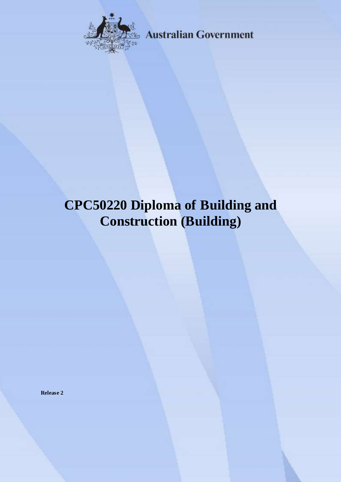

**Australian Government** 

# **CPC50220 Diploma of Building and Construction (Building)**

**Release 2**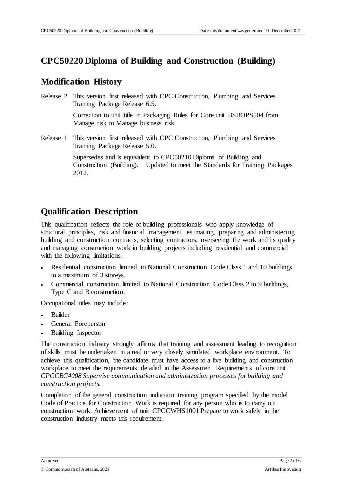#### **CPC50220 Diploma of Building and Construction (Building)**

#### **Modification History**

Release 2 This version first released with CPC Construction, Plumbing and Services Training Package Release 6.5. Correction to unit title in Packaging Rules for Core unit BSBOPS504 from

Manage risk to Manage business risk.

Release 1 This version first released with CPC Construction, Plumbing and Services Training Package Release 5.0.

> Supersedes and is equivalent to CPC50210 Diploma of Building and Construction (Building). Updated to meet the Standards for Training Packages 2012.

### **Qualification Description**

This qualification reflects the role of building professionals who apply knowledge of structural principles, risk and financial management, estimating, preparing and administering building and construction contracts, selecting contractors, overseeing the work and its quality and managing construction work in building projects including residential and commercial with the following limitations:

- Residential construction limited to National Construction Code Class 1 and 10 buildings to a maximum of 3 storeys.
- Commercial construction limited to National Construction Code Class 2 to 9 buildings, Type C and B construction.

Occupational titles may include:

- Builder
- General Foreperson
- Building Inspector

The construction industry strongly affirms that training and assessment leading to recognition of skills must be undertaken in a real or very closely simulated workplace environment. To achieve this qualification, the candidate must have access to a live building and construction workplace to meet the requirements detailed in the Assessment Requirements of core unit *CPCCBC4008 Supervise communication and administration processes for building and construction projects.*

Completion of the general construction induction training program specified by the model Code of Practice for Construction Work is required for any person who is to carry out construction work. Achievement of unit CPCCWHS1001 Prepare to work safely in the construction industry meets this requirement.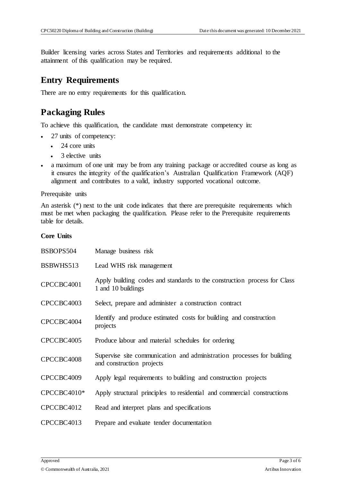Builder licensing varies across States and Territories and requirements additional to the attainment of this qualification may be required.

#### **Entry Requirements**

There are no entry requirements for this qualification.

# **Packaging Rules**

To achieve this qualification, the candidate must demonstrate competency in:

- 27 units of competency:
	- 24 core units
	- 3 elective units
- a maximum of one unit may be from any training package or accredited course as long as it ensures the integrity of the qualification's Australian Qualification Framework (AQF) alignment and contributes to a valid, industry supported vocational outcome.

Prerequisite units

An asterisk (\*) next to the unit code indicates that there are prerequisite requirements which must be met when packaging the qualification. Please refer to the Prerequisite requirements table for details.

#### **Core Units**

| BSBOPS504   | Manage business risk                                                                                |
|-------------|-----------------------------------------------------------------------------------------------------|
| BSBWHS513   | Lead WHS risk management                                                                            |
| CPCCBC4001  | Apply building codes and standards to the construction process for Class<br>1 and 10 buildings      |
| CPCCBC4003  | Select, prepare and administer a construction contract                                              |
| CPCCBC4004  | Identify and produce estimated costs for building and construction<br>projects                      |
| CPCCBC4005  | Produce labour and material schedules for ordering                                                  |
| CPCCBC4008  | Supervise site communication and administration processes for building<br>and construction projects |
| CPCCBC4009  | Apply legal requirements to building and construction projects                                      |
| CPCCBC4010* | Apply structural principles to residential and commercial constructions                             |
| CPCCBC4012  | Read and interpret plans and specifications                                                         |
| CPCCBC4013  | Prepare and evaluate tender documentation                                                           |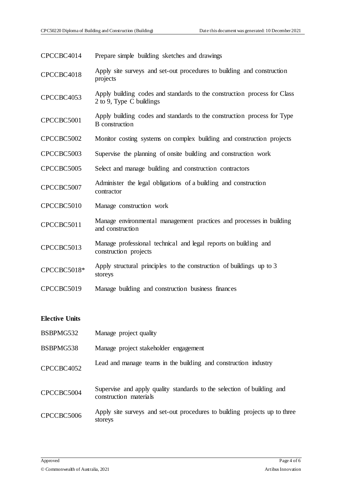| CPCCBC4014            | Prepare simple building sketches and drawings                                                        |
|-----------------------|------------------------------------------------------------------------------------------------------|
| CPCCBC4018            | Apply site surveys and set-out procedures to building and construction<br>projects                   |
| CPCCBC4053            | Apply building codes and standards to the construction process for Class<br>2 to 9, Type C buildings |
| CPCCBC5001            | Apply building codes and standards to the construction process for Type<br><b>B</b> construction     |
| CPCCBC5002            | Monitor costing systems on complex building and construction projects                                |
| CPCCBC5003            | Supervise the planning of onsite building and construction work                                      |
| CPCCBC5005            | Select and manage building and construction contractors                                              |
| CPCCBC5007            | Administer the legal obligations of a building and construction<br>contractor                        |
| CPCCBC5010            | Manage construction work                                                                             |
| CPCCBC5011            | Manage environmental management practices and processes in building<br>and construction              |
| CPCCBC5013            | Manage professional technical and legal reports on building and<br>construction projects             |
| CPCCBC5018*           | Apply structural principles to the construction of buildings up to 3<br>storeys                      |
| CPCCBC5019            | Manage building and construction business finances                                                   |
|                       |                                                                                                      |
| <b>Elective Units</b> |                                                                                                      |
| BSBPMG532             | Manage project quality                                                                               |
| BSBPMG538             | Manage project stakeholder engagement                                                                |
| CPCCBC4052            | Lead and manage teams in the building and construction industry                                      |
| CPCCBC5004            | Supervise and apply quality standards to the selection of building and<br>construction materials     |

CPCCBC5006 Apply site surveys and set-out procedures to building projects up to three storeys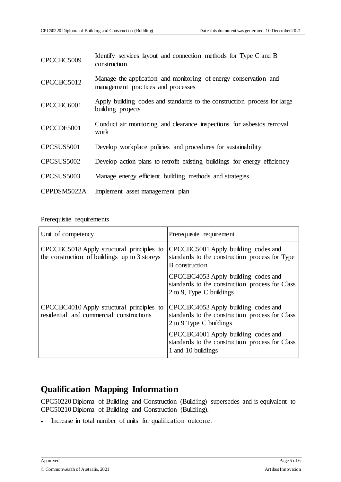| CPCCBC5009  | Identify services layout and connection methods for Type C and B<br>construction                       |
|-------------|--------------------------------------------------------------------------------------------------------|
| CPCCBC5012  | Manage the application and monitoring of energy conservation and<br>management practices and processes |
| CPCCBC6001  | Apply building codes and standards to the construction process for large<br>building projects          |
| CPCCDE5001  | Conduct air monitoring and clearance inspections for asbestos removal<br>work                          |
| CPCSUS5001  | Develop workplace policies and procedures for sustainability                                           |
| CPCSUS5002  | Develop action plans to retrofit existing buildings for energy efficiency                              |
| CPCSUS5003  | Manage energy efficient building methods and strategies                                                |
| CPPDSM5022A | Implement asset management plan                                                                        |

Prerequisite requirements

| Unit of competency                                                                         | Prerequisite requirement                                                                                           |
|--------------------------------------------------------------------------------------------|--------------------------------------------------------------------------------------------------------------------|
| CPCCBC5018 Apply structural principles to<br>the construction of buildings up to 3 storeys | CPCCBC5001 Apply building codes and<br>standards to the construction process for Type<br><b>B</b> construction     |
|                                                                                            | CPCCBC4053 Apply building codes and<br>standards to the construction process for Class<br>2 to 9, Type C buildings |
| CPCCBC4010 Apply structural principles to<br>residential and commercial constructions      | CPCCBC4053 Apply building codes and<br>standards to the construction process for Class<br>2 to 9 Type C buildings  |
|                                                                                            | CPCCBC4001 Apply building codes and<br>standards to the construction process for Class<br>1 and 10 buildings       |

# **Qualification Mapping Information**

CPC50220 Diploma of Building and Construction (Building) supersedes and is equivalent to CPC50210 Diploma of Building and Construction (Building).

Increase in total number of units for qualification outcome.